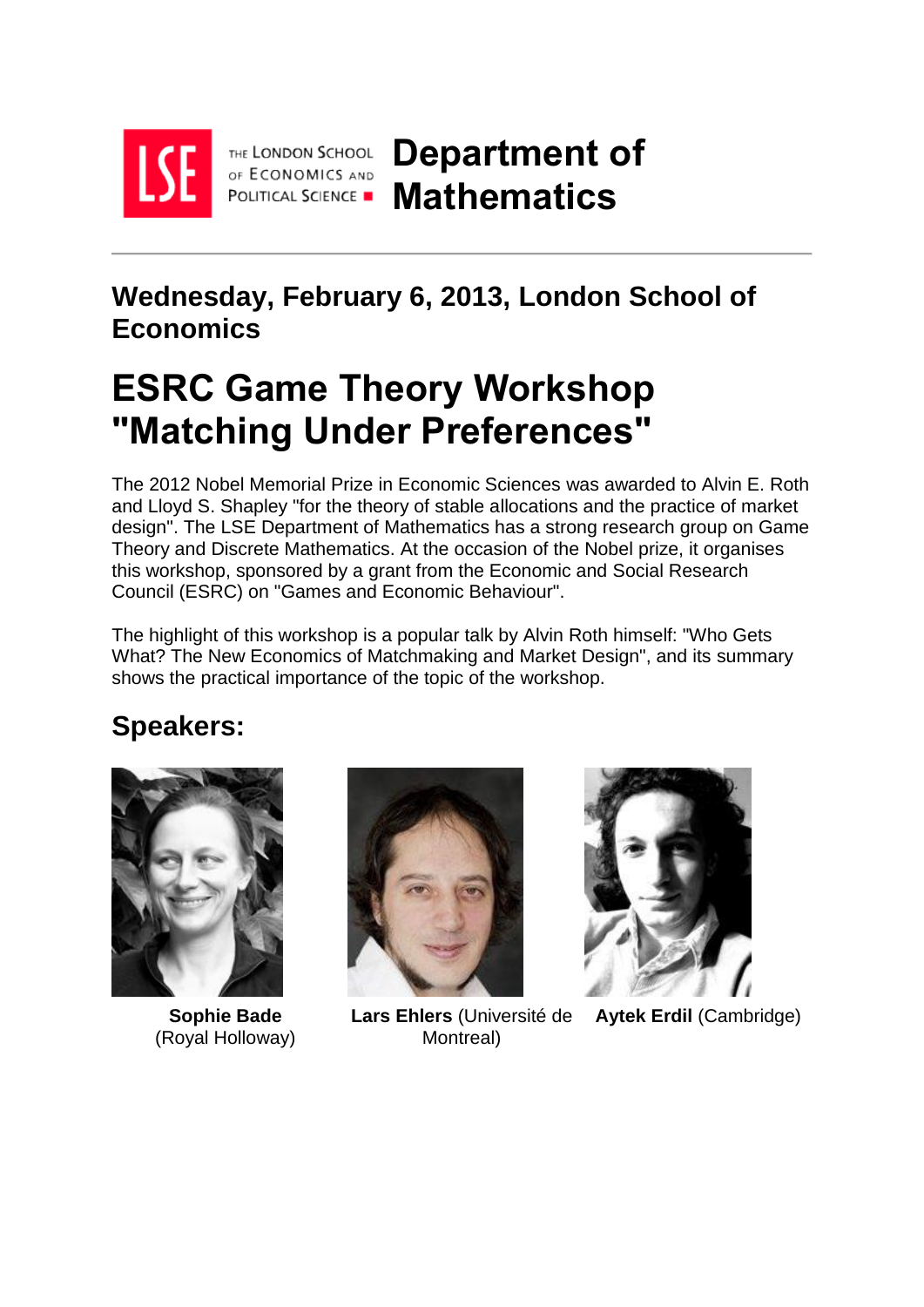

THE LONDON SCHOOL OF ECONOMICS AND POLITICAL SCIENCE

**Department of Mathematics**

# **Wednesday, February 6, 2013, London School of Economics**

# **ESRC Game Theory Workshop "Matching Under Preferences"**

The 2012 Nobel Memorial Prize in Economic Sciences was awarded to Alvin E. Roth and Lloyd S. Shapley "for the theory of stable allocations and the practice of market design". The LSE Department of Mathematics has a strong research group on Game Theory and Discrete Mathematics. At the occasion of the Nobel prize, it organises this workshop, sponsored by a grant from the Economic and Social Research Council (ESRC) on "Games and Economic Behaviour".

The highlight of this workshop is a popular talk by Alvin Roth himself: "Who Gets What? The New Economics of Matchmaking and Market Design", and its [summary](http://www.maths.lse.ac.uk/ESRC_Game_Theory_Workshop.html#rothabstract) shows the practical importance of the topic of the workshop.

# **Speakers:**



**Sophie Bade** (Royal Holloway)



**Lars Ehlers** (Université de Montreal)



**Aytek Erdil** (Cambridge)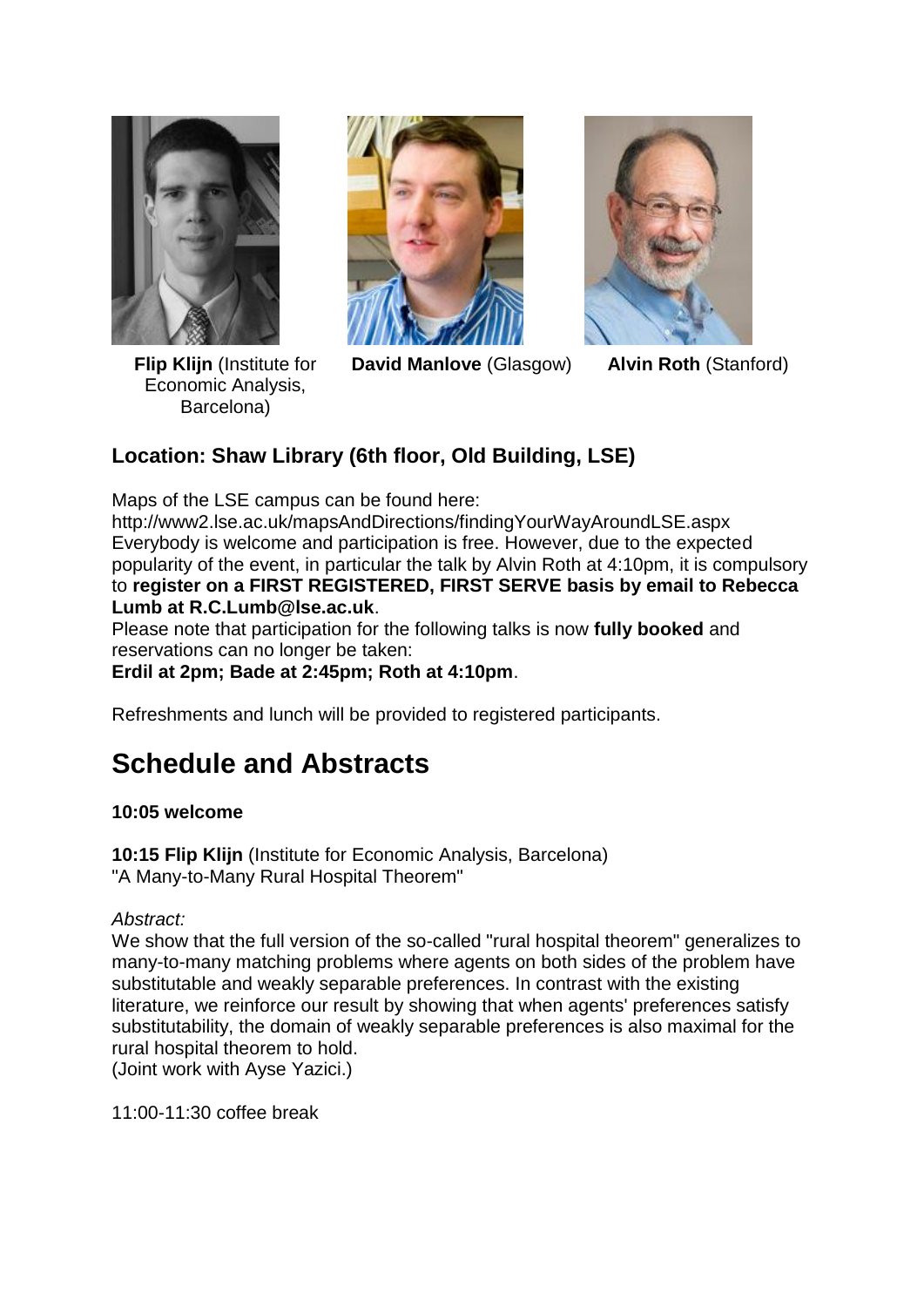

**Flip Klijn** (Institute for Economic Analysis, Barcelona)



**David Manlove** (Glasgow) **Alvin Roth** (Stanford)



### **Location: Shaw Library (6th floor, Old Building, LSE)**

Maps of the LSE campus can be found here:

http://www2.lse.ac.uk/mapsAndDirections/findingYourWayAroundLSE.aspx Everybody is welcome and participation is free. However, due to the expected popularity of the event, in particular the talk by Alvin Roth at 4:10pm, it is compulsory to **register on a FIRST REGISTERED, FIRST SERVE basis by email to Rebecca Lumb at R.C.Lumb@lse.ac.uk**.

Please note that participation for the following talks is now **fully booked** and reservations can no longer be taken:

**Erdil at 2pm; Bade at 2:45pm; Roth at 4:10pm**.

Refreshments and lunch will be provided to registered participants.

# **Schedule and Abstracts**

### **10:05 welcome**

**10:15 Flip Klijn** (Institute for Economic Analysis, Barcelona) "A Many-to-Many Rural Hospital Theorem"

*Abstract:*

We show that the full version of the so-called "rural hospital theorem" generalizes to many-to-many matching problems where agents on both sides of the problem have substitutable and weakly separable preferences. In contrast with the existing literature, we reinforce our result by showing that when agents' preferences satisfy substitutability, the domain of weakly separable preferences is also maximal for the rural hospital theorem to hold.

(Joint work with Ayse Yazici.)

11:00-11:30 coffee break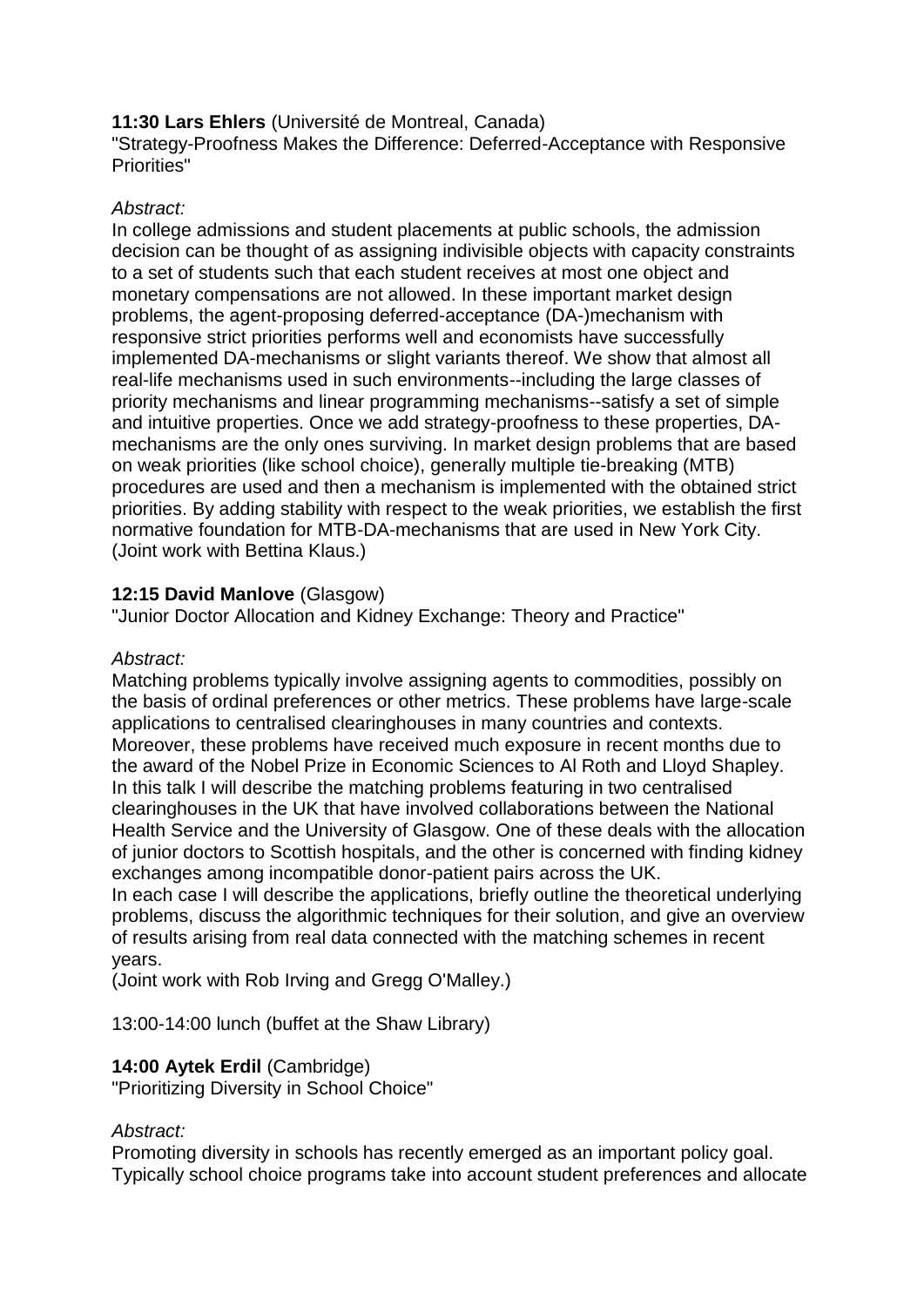### **11:30 Lars Ehlers** (Université de Montreal, Canada)

"Strategy-Proofness Makes the Difference: Deferred-Acceptance with Responsive Priorities"

### *Abstract:*

In college admissions and student placements at public schools, the admission decision can be thought of as assigning indivisible objects with capacity constraints to a set of students such that each student receives at most one object and monetary compensations are not allowed. In these important market design problems, the agent-proposing deferred-acceptance (DA-)mechanism with responsive strict priorities performs well and economists have successfully implemented DA-mechanisms or slight variants thereof. We show that almost all real-life mechanisms used in such environments--including the large classes of priority mechanisms and linear programming mechanisms--satisfy a set of simple and intuitive properties. Once we add strategy-proofness to these properties, DAmechanisms are the only ones surviving. In market design problems that are based on weak priorities (like school choice), generally multiple tie-breaking (MTB) procedures are used and then a mechanism is implemented with the obtained strict priorities. By adding stability with respect to the weak priorities, we establish the first normative foundation for MTB-DA-mechanisms that are used in New York City. (Joint work with Bettina Klaus.)

### **12:15 David Manlove** (Glasgow)

"Junior Doctor Allocation and Kidney Exchange: Theory and Practice"

### *Abstract:*

Matching problems typically involve assigning agents to commodities, possibly on the basis of ordinal preferences or other metrics. These problems have large-scale applications to centralised clearinghouses in many countries and contexts. Moreover, these problems have received much exposure in recent months due to the award of the Nobel Prize in Economic Sciences to Al Roth and Lloyd Shapley. In this talk I will describe the matching problems featuring in two centralised clearinghouses in the UK that have involved collaborations between the National Health Service and the University of Glasgow. One of these deals with the allocation of junior doctors to Scottish hospitals, and the other is concerned with finding kidney exchanges among incompatible donor-patient pairs across the UK.

In each case I will describe the applications, briefly outline the theoretical underlying problems, discuss the algorithmic techniques for their solution, and give an overview of results arising from real data connected with the matching schemes in recent years.

(Joint work with Rob Irving and Gregg O'Malley.)

13:00-14:00 lunch (buffet at the Shaw Library)

### **14:00 Aytek Erdil** (Cambridge)

"Prioritizing Diversity in School Choice"

### *Abstract:*

Promoting diversity in schools has recently emerged as an important policy goal. Typically school choice programs take into account student preferences and allocate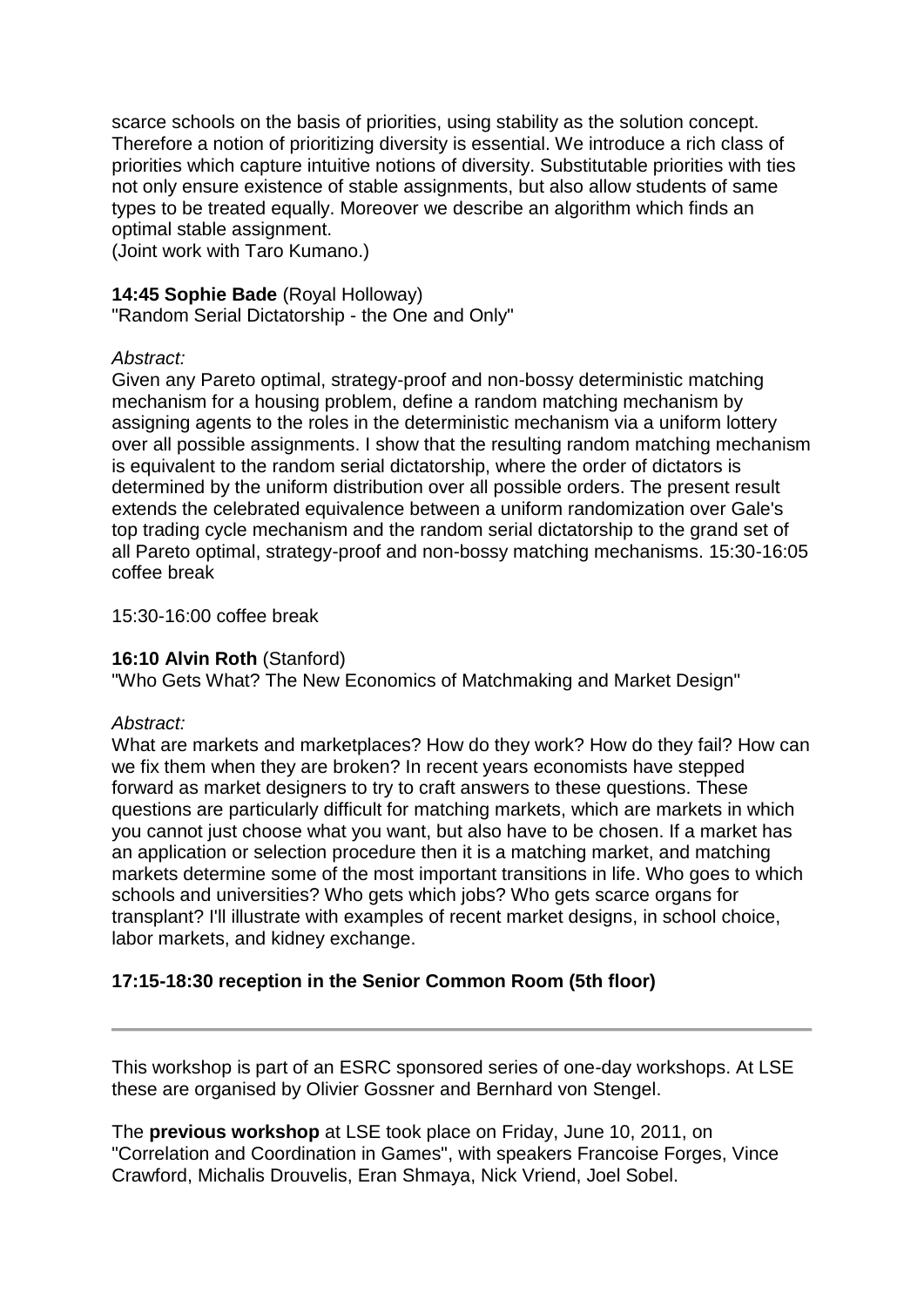scarce schools on the basis of priorities, using stability as the solution concept. Therefore a notion of prioritizing diversity is essential. We introduce a rich class of priorities which capture intuitive notions of diversity. Substitutable priorities with ties not only ensure existence of stable assignments, but also allow students of same types to be treated equally. Moreover we describe an algorithm which finds an optimal stable assignment.

(Joint work with Taro Kumano.)

### **14:45 Sophie Bade** (Royal Holloway)

"Random Serial Dictatorship - the One and Only"

#### *Abstract:*

Given any Pareto optimal, strategy-proof and non-bossy deterministic matching mechanism for a housing problem, define a random matching mechanism by assigning agents to the roles in the deterministic mechanism via a uniform lottery over all possible assignments. I show that the resulting random matching mechanism is equivalent to the random serial dictatorship, where the order of dictators is determined by the uniform distribution over all possible orders. The present result extends the celebrated equivalence between a uniform randomization over Gale's top trading cycle mechanism and the random serial dictatorship to the grand set of all Pareto optimal, strategy-proof and non-bossy matching mechanisms. 15:30-16:05 coffee break

15:30-16:00 coffee break

### **16:10 Alvin Roth** (Stanford)

"Who Gets What? The New Economics of Matchmaking and Market Design"

#### *Abstract:*

What are markets and marketplaces? How do they work? How do they fail? How can we fix them when they are broken? In recent years economists have stepped forward as market designers to try to craft answers to these questions. These questions are particularly difficult for matching markets, which are markets in which you cannot just choose what you want, but also have to be chosen. If a market has an application or selection procedure then it is a matching market, and matching markets determine some of the most important transitions in life. Who goes to which schools and universities? Who gets which jobs? Who gets scarce organs for transplant? I'll illustrate with examples of recent market designs, in school choice, labor markets, and kidney exchange.

### **17:15-18:30 reception in the Senior Common Room (5th floor)**

This workshop is part of an ESRC sponsored series of one-day workshops. At LSE these are organised by Olivier Gossner and Bernhard von Stengel.

The **previous workshop** at LSE took place on Friday, June 10, 2011, on "Correlation and Coordination in Games", with speakers Francoise Forges, Vince Crawford, Michalis Drouvelis, Eran Shmaya, Nick Vriend, Joel Sobel.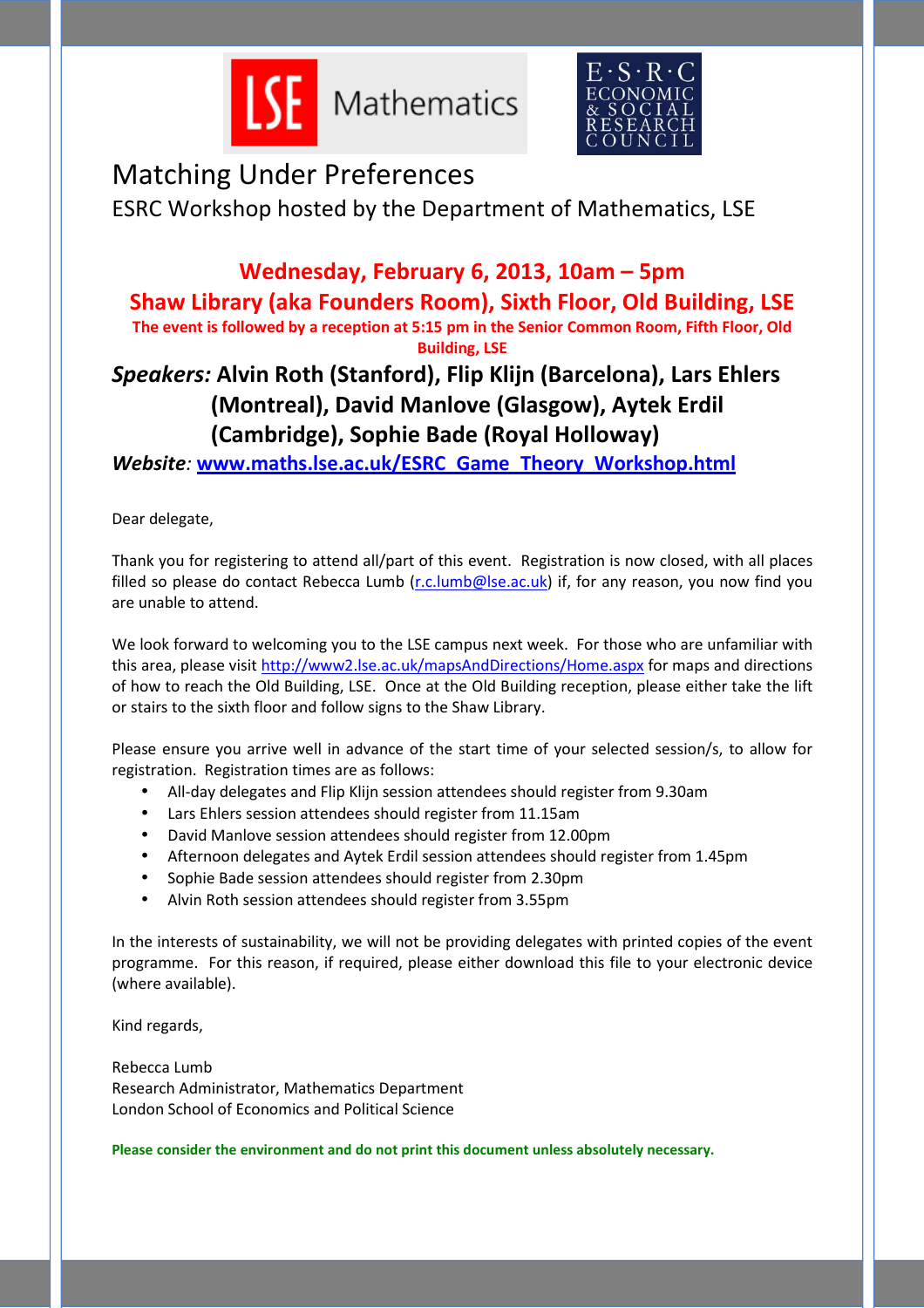



# Matching Under Preferences

ESRC Workshop hosted by the Department of Mathematics, LSE

### **Wednesday, February 6, 2013, 10am – 5pm**

**Shaw Library (aka Founders Room), Sixth Floor, Old Building, LSE** 

**The event is followed by a reception at 5:15 pm in the Senior Common Room, Fifth Floor, Old Building, LSE** 

### *Speakers:* **Alvin Roth (Stanford), Flip Klijn (Barcelona), Lars Ehlers (Montreal), David Manlove (Glasgow), Aytek Erdil (Cambridge), Sophie Bade (Royal Holloway)**

*Website:* **www.maths.lse.ac.uk/ESRC\_Game\_Theory\_Workshop.html**

Dear delegate,

Thank you for registering to attend all/part of this event. Registration is now closed, with all places filled so please do contact Rebecca Lumb (r.c.lumb@lse.ac.uk) if, for any reason, you now find you are unable to attend.

We look forward to welcoming you to the LSE campus next week. For those who are unfamiliar with this area, please visit http://www2.lse.ac.uk/mapsAndDirections/Home.aspx for maps and directions of how to reach the Old Building, LSE. Once at the Old Building reception, please either take the lift or stairs to the sixth floor and follow signs to the Shaw Library.

Please ensure you arrive well in advance of the start time of your selected session/s, to allow for registration. Registration times are as follows:

- All-day delegates and Flip Klijn session attendees should register from 9.30am
- Lars Ehlers session attendees should register from 11.15am
- David Manlove session attendees should register from 12.00pm
- Afternoon delegates and Aytek Erdil session attendees should register from 1.45pm
- Sophie Bade session attendees should register from 2.30pm
- Alvin Roth session attendees should register from 3.55pm

In the interests of sustainability, we will not be providing delegates with printed copies of the event programme. For this reason, if required, please either download this file to your electronic device (where available).

Kind regards,

Rebecca Lumb Research Administrator, Mathematics Department London School of Economics and Political Science

**Please consider the environment and do not print this document unless absolutely necessary.**